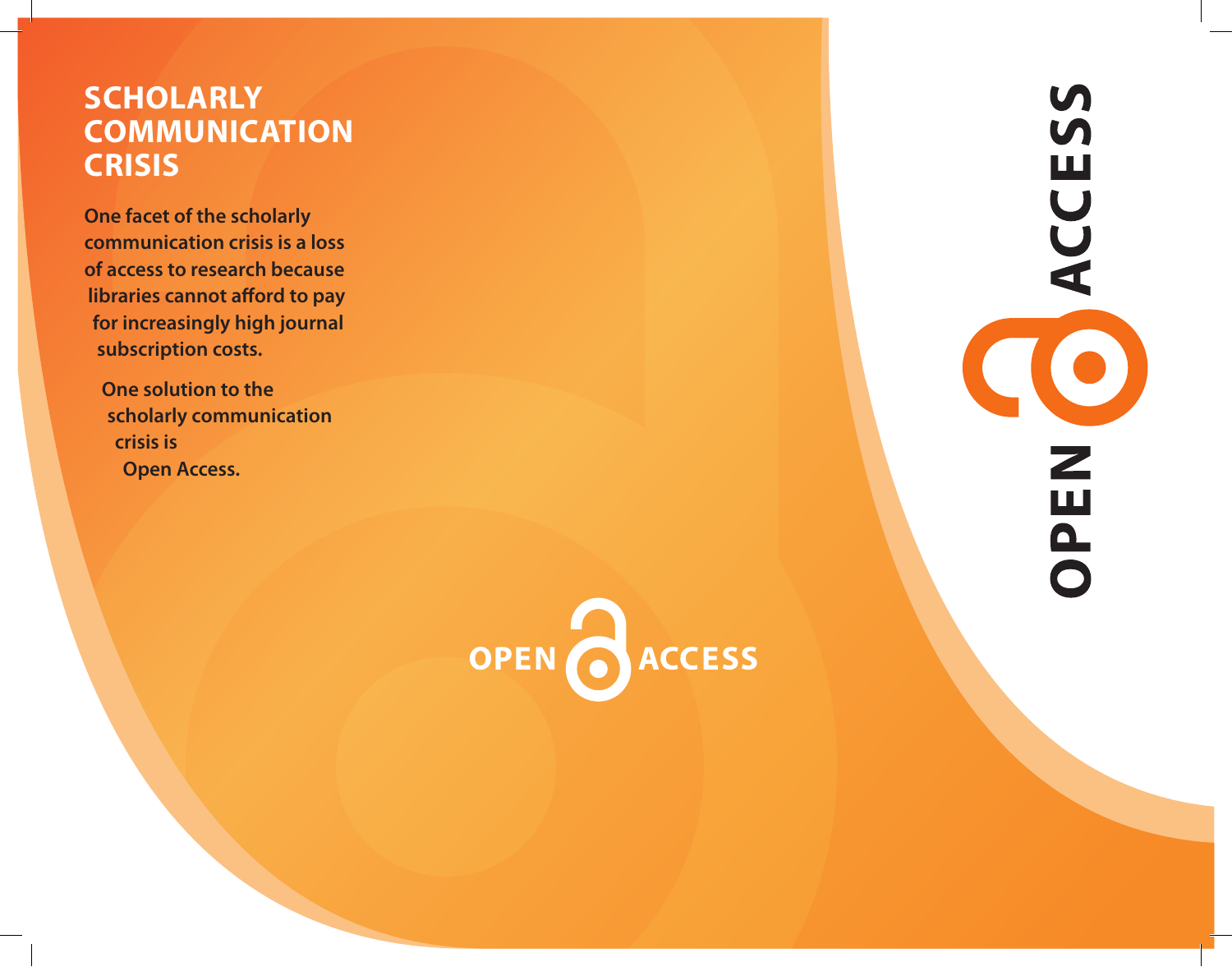# **Scholarly Communication Crisis**

**One facet of the scholarly communication crisis is a loss of access to research because libraries cannot afford to pay for increasingly high journal subscription costs.**

 **One solution to the scholarly communication crisis is Open Access.**



 $\boldsymbol{\mathsf{S}}$  $\overline{M}$ Щ ACC NE. **AO**